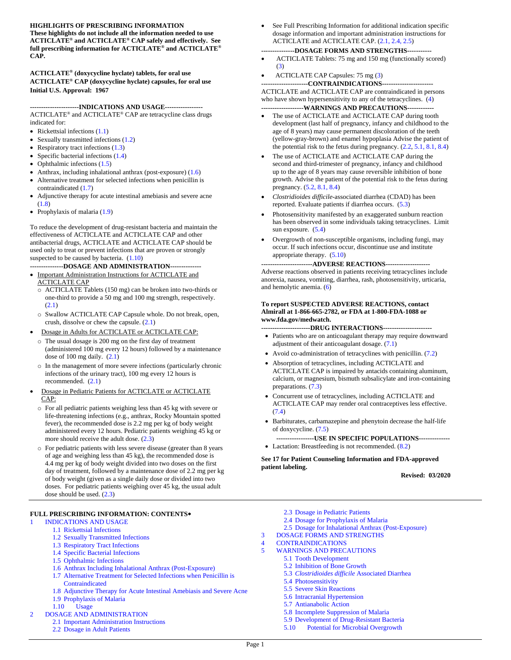#### **HIGHLIGHTS OF PRESCRIBING INFORMATION**

**These highlights do not include all the information needed to use ACTICLATE® and ACTICLATE® CAP safely and effectively. See full prescribing information for ACTICLATE® and ACTICLATE® CAP.**

**ACTICLATE® (doxycycline hyclate) tablets, for oral use ACTICLATE® CAP (doxycycline hyclate) capsules, for oral use Initial U.S. Approval: 1967**

#### **----------------------INDICATIONS AND USAGE-----------------** ACTICLATE® and ACTICLATE® CAP are tetracycline class drugs indicated for:

- Rickettsial infections [\(1.1\)](#page-2-0)
- Sexually transmitted infections [\(1.2\)](#page-2-1)
- Respiratory tract infections  $(1.3)$
- Specific bacterial infections  $(1.4)$
- Ophthalmic infections  $(1.5)$
- Anthrax, including inhalational anthrax (post-exposure) [\(1.6\)](#page-3-1)
- Alternative treatment for selected infections when penicillin is contraindicated [\(1.7\)](#page-3-2)
- Adjunctive therapy for acute intestinal amebiasis and severe acne [\(1.8\)](#page-3-3)
- Prophylaxis of malaria  $(1.9)$

To reduce the development of drug-resistant bacteria and maintain the effectiveness of ACTICLATE and ACTICLATE CAP and other antibacterial drugs, ACTICLATE and ACTICLATE CAP should be used only to treat or prevent infections that are proven or strongly suspected to be caused by bacteria.  $(1.10)$  $(1.10)$ 

#### **---------------DOSAGE AND ADMINISTRATION--------------**

- Important Administration Instructions for ACTICLATE and ACTICLATE CAP
	- o ACTICLATE Tablets (150 mg) can be broken into two-thirds or one-third to provide a 50 mg and 100 mg strength, respectively. (2.1)
	- o Swallow ACTICLATE CAP Capsule whole. Do not break, open, crush, dissolve or chew the capsule. (2.1)
- Dosage in Adults for ACTICLATE or ACTICLATE CAP:
	- o The usual dosage is 200 mg on the first day of treatment (administered 100 mg every 12 hours) followed by a maintenance dose of  $100$  mg daily.  $(2.1)$
	- o In the management of more severe infections (particularly chronic infections of the urinary tract), 100 mg every 12 hours is recommended. [\(2.1\)](#page-4-0)
- Dosage in Pediatric Patients for ACTICLATE or ACTICLATE CAP:
- o For all pediatric patients weighing less than 45 kg with severe or life-threatening infections (e.g., anthrax, Rocky Mountain spotted fever), the recommended dose is 2.2 mg per kg of body weight administered every 12 hours. Pediatric patients weighing 45 kg or more should receive the adult dose.  $(2.3)$
- o For pediatric patients with less severe disease (greater than 8 years of age and weighing less than 45 kg), the recommended dose is 4.4 mg per kg of body weight divided into two doses on the first day of treatment, followed by a maintenance dose of 2.2 mg per kg of body weight (given as a single daily dose or divided into two doses. For pediatric patients weighing over 45 kg, the usual adult dose should be used. (2.3)

#### **FULL PRESCRIBING INFORMATION: CONTENTS**

- 1 [INDICATIONS AND USAGE](#page-2-4)
- 1.1 [Rickettsial Infections](#page-2-0)
	- 1.2 [Sexually Transmitted Infections](#page-2-1)
	- 1.3 [Respiratory Tract Infections](#page-2-2)
	- 1.4 [Specific Bacterial Infections](#page-2-3)
	- 1.5 [Ophthalmic Infections](#page-3-0)
	- 1.6 [Anthrax Including Inhalational Anthrax \(Post-Exposure\)](#page-3-1)
	- 1.7 [Alternative Treatment for Selected Infections when Penicillin is](#page-3-2)  [Contraindicated](#page-3-2)
	- 1.8 [Adjunctive Therapy for Acute Intestinal Amebiasis and Severe Acne](#page-3-3)
	- 1.9 [Prophylaxis of Malaria](#page-3-4)
	- 1.10 [Usage](#page-3-5)
- 2 [DOSAGE AND ADMINISTRATION](#page-4-1)
	- 2.1 [Important Administration Instructions](#page-4-0)
	- 2.2 [Dosage in Adult Patients](#page-4-2)
- See Full Prescribing Information for additional indication specific dosage information and important administration instructions for ACTICLATE and ACTICLATE CAP. (2.1, 2.4, 2.5)
- **---------------DOSAGE FORMS AND STRENGTHS-----------**
- ACTICLATE Tablets: 75 mg and 150 mg (functionally scored) [\(3\)](#page-5-0)
- ACTICLATE CAP Capsules: 75 mg [\(3\)](#page-5-0)

**---------------------CONTRAINDICATIONS-----------------------** ACTICLATE and ACTICLATE CAP are contraindicated in persons who have shown hypersensitivity to any of the tetracyclines. [\(4\)](#page-5-1) **-------------------WARNINGS AND PRECAUTIONS------------**

- The use of ACTICLATE and ACTICLATE CAP during tooth development (last half of pregnancy, infancy and childhood to the age of 8 years) may cause permanent discoloration of the teeth (yellow-gray-brown) and enamel hypoplasia Advise the patient of the potential risk to the fetus during pregnancy. [\(2.2,](#page-6-0) [5.1,](#page-5-2) [8.1,](#page-8-0) [8.4\)](#page-9-0)
- The use of ACTICLATE and ACTICLATE CAP during the second and third-trimester of pregnancy, infancy and childhood up to the age of 8 years may cause reversible inhibition of bone growth. Advise the patient of the potential risk to the fetus during pregnancy. [\(5.2,](#page-6-0) [8.1,](#page-8-0) [8.4\)](#page-9-0)
- *Clostridioides difficile*-associated diarrhea (CDAD) has been reported. Evaluate patients if diarrhea occurs. [\(5.3\)](#page-6-1)
- Photosensitivity manifested by an exaggerated sunburn reaction has been observed in some individuals taking tetracyclines. Limit sun exposure. [\(5.4\)](#page-6-2)
- Overgrowth of non-susceptible organisms, including fungi, may occur. If such infections occur, discontinue use and institute appropriate therapy. [\(5.10\)](#page-7-0)

**-----------------------ADVERSE REACTIONS--------------------** Adverse reactions observed in patients receiving tetracyclines include anorexia, nausea, vomiting, diarrhea, rash, photosensitivity, urticaria, and hemolytic anemia. [\(6\)](#page-7-1)

#### **To report SUSPECTED ADVERSE REACTIONS, contact Almirall at 1-866-665-2782, or FDA at 1-800-FDA-1088 or www.fda.gov/medwatch.**

**----------------------DRUG INTERACTIONS----------------------**

- Patients who are on anticoagulant therapy may require downward adjustment of their anticoagulant dosage. [\(7.1\)](#page-8-1)
- Avoid co-administration of tetracyclines with penicillin. [\(7.2\)](#page-8-2)
- Absorption of tetracyclines, including ACTICLATE and ACTICLATE CAP is impaired by antacids containing aluminum, calcium, or magnesium, bismuth subsalicylate and iron-containing preparations. [\(7.3\)](#page-8-3)
- Concurrent use of tetracyclines, including ACTICLATE and ACTICLATE CAP may render oral contraceptives less effective. [\(7.4\)](#page-8-4)
- Barbiturates, carbamazepine and phenytoin decrease the half-life of doxycycline. [\(7.5\)](#page-8-5)
	- **-----------------USE IN SPECIFIC POPULATIONS--------------**
- Lactation: Breastfeeding is not recommended.  $(8.2)$

**Se[e 17](#page-14-0) for [Patient Counseling Information](#page-14-0) and FDA-approved patient labeling.**

**Revised: 03/2020**

- 2.3 [Dosage in Pediatric Patients](#page-4-3)
- 2.4 [Dosage for Prophylaxis](#page-5-3) of Malaria
- 2.5 [Dosage for Inhalational Anthrax \(Post-Exposure\)](#page-5-4)
- 3 [DOSAGE FORMS AND STRENGTHS](#page-5-0)
- 4 [CONTRAINDICATIONS](#page-5-1)
- 5 [WARNINGS AND PRECAUTIONS](#page-5-5)
	- 5.1 [Tooth Development](#page-5-2)
	- 5.2 [Inhibition of Bone Growth](#page-6-0) 5.3 *[Clostridioides difficile](#page-6-1)* Associated Diarrhea
	- 5.4 [Photosensitivity](#page-6-2)
	- 5.5 [Severe Skin Reactions](#page-6-3)
	- 5.6 [Intracranial Hypertension](#page-6-4)
	- 5.7 [Antianabolic Action](#page-7-2)
	- 5.8 [Incomplete Suppression of Malaria](#page-7-3)
	- 5.9 [Development of Drug-Resistant Bacteria](#page-7-4)
	- 5.10 [Potential for Microbial Overgrowth](#page-7-0)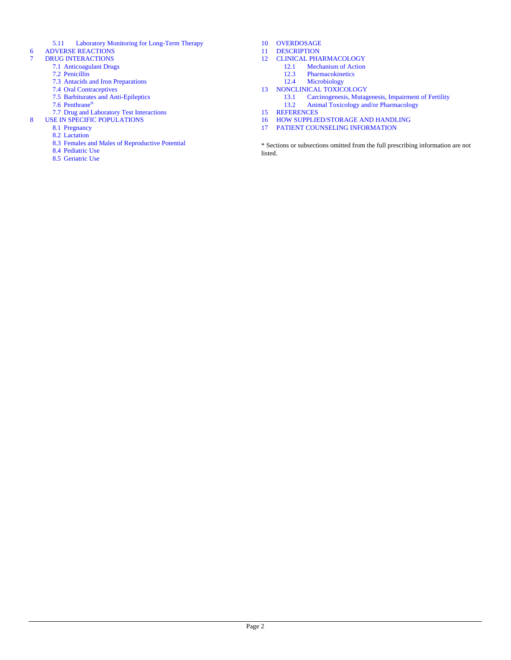- 5.11 [Laboratory Monitoring for Long-Term Therapy](#page-7-5)
- 6 [ADVERSE REACTIONS](#page-7-1)
- 7 [DRUG INTERACTIONS](#page-8-6)
	- 7.1 [Anticoagulant Drugs](#page-8-1)
	- 7.2 [Penicillin](#page-8-2)
	- 7.3 [Antacids and Iron Preparations](#page-8-3)
	- 7.4 [Oral Contraceptives](#page-8-4)
	- 7.5 [Barbiturates and Anti-Epileptics](#page-8-5)
	- 7.6 [Penthrane](#page-8-7)®
	- 7.7 [Drug and Laboratory Test Interactions](#page-8-8)
- 8 [USE IN SPECIFIC POPULATIONS](#page-8-9)
	- 8.1 [Pregnancy](#page-8-0)
	- 8.2 [Lactation](#page-9-1)
	- 8.3 [Females and Males of Reproductive Potential](#page-9-2)
	- 8.4 [Pediatric Use](#page-9-0)
	- 8.5 [Geriatric Use](#page-9-3)
- 10 [OVERDOSAGE](#page-9-4)<br>11 DESCRIPTION
- **[DESCRIPTION](#page-10-0)**
- 12 [CLINICAL PHARMACOLOGY](#page-11-0)<br>12.1 Mechanism of Action
	- [Mechanism of Action](#page-11-1)
	- 12.3 [Pharmacokinetics](#page-11-2)<br>12.4 Microbiology [Microbiology](#page-11-3)
	-
- 13 [NONCLINICAL TOXICOLOGY](#page-13-0)
	- 13.1 [Carcinogenesis, Mutagenesis, Impairment of Fertility](#page-13-1)
	- 13.2 [Animal Toxicology and/or Pharmacology](#page-13-2)
- 15 [REFERENCES](#page-13-3)
- 16 [HOW SUPPLIED/STORAGE](#page-14-1) AND HANDLING<br>17 PATIENT COUNSELING INFORMATION
- [PATIENT COUNSELING INFORMATION](#page-14-0)

\* Sections or subsections omitted from the full prescribing information are not listed.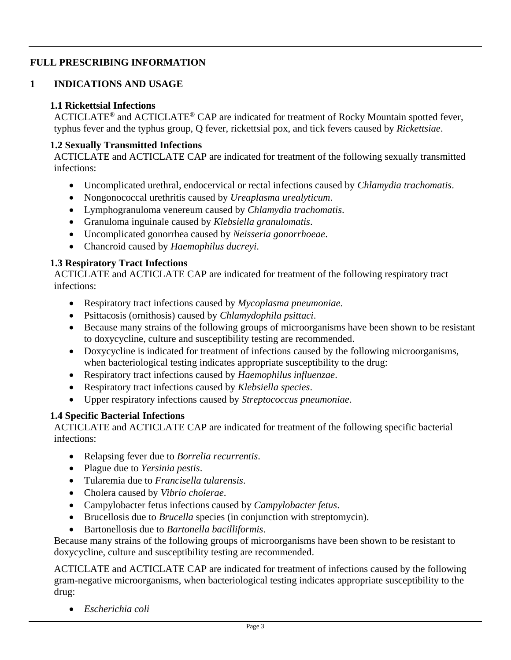### **FULL PRESCRIBING INFORMATION**

#### <span id="page-2-4"></span><span id="page-2-0"></span>**1 INDICATIONS AND USAGE**

#### **1.1 Rickettsial Infections**

ACTICLATE<sup>®</sup> and ACTICLATE<sup>®</sup> CAP are indicated for treatment of Rocky Mountain spotted fever, typhus fever and the typhus group, Q fever, rickettsial pox, and tick fevers caused by *Rickettsiae*.

#### <span id="page-2-1"></span>**1.2 Sexually Transmitted Infections**

ACTICLATE and ACTICLATE CAP are indicated for treatment of the following sexually transmitted infections:

- Uncomplicated urethral, endocervical or rectal infections caused by *Chlamydia trachomatis*.
- Nongonococcal urethritis caused by *Ureaplasma urealyticum*.
- Lymphogranuloma venereum caused by *Chlamydia trachomatis*.
- Granuloma inguinale caused by *Klebsiella granulomatis*.
- Uncomplicated gonorrhea caused by *Neisseria gonorrhoeae*.
- Chancroid caused by *Haemophilus ducreyi*.

#### <span id="page-2-2"></span>**1.3 Respiratory Tract Infections**

ACTICLATE and ACTICLATE CAP are indicated for treatment of the following respiratory tract infections:

- Respiratory tract infections caused by *Mycoplasma pneumoniae*.
- Psittacosis (ornithosis) caused by *Chlamydophila psittaci*.
- Because many strains of the following groups of microorganisms have been shown to be resistant to doxycycline, culture and susceptibility testing are recommended.
- Doxycycline is indicated for treatment of infections caused by the following microorganisms, when bacteriological testing indicates appropriate susceptibility to the drug:
- Respiratory tract infections caused by *Haemophilus influenzae*.
- Respiratory tract infections caused by *Klebsiella species*.
- Upper respiratory infections caused by *Streptococcus pneumoniae*.

#### <span id="page-2-3"></span>**1.4 Specific Bacterial Infections**

ACTICLATE and ACTICLATE CAP are indicated for treatment of the following specific bacterial infections:

- Relapsing fever due to *Borrelia recurrentis*.
- Plague due to *Yersinia pestis*.
- Tularemia due to *Francisella tularensis*.
- Cholera caused by *Vibrio cholerae*.
- Campylobacter fetus infections caused by *Campylobacter fetus*.
- Brucellosis due to *Brucella* species (in conjunction with streptomycin).
- Bartonellosis due to *Bartonella bacilliformis*.

Because many strains of the following groups of microorganisms have been shown to be resistant to doxycycline, culture and susceptibility testing are recommended.

ACTICLATE and ACTICLATE CAP are indicated for treatment of infections caused by the following gram-negative microorganisms, when bacteriological testing indicates appropriate susceptibility to the drug:

*Escherichia coli*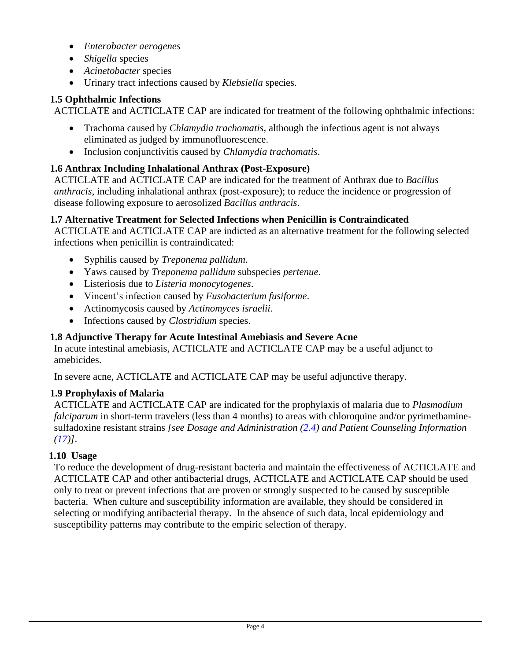- *Enterobacter aerogenes*
- *Shigella* species
- *Acinetobacter* species
- Urinary tract infections caused by *Klebsiella* species.

# <span id="page-3-0"></span>**1.5 Ophthalmic Infections**

ACTICLATE and ACTICLATE CAP are indicated for treatment of the following ophthalmic infections:

- Trachoma caused by *Chlamydia trachomatis*, although the infectious agent is not always eliminated as judged by immunofluorescence.
- Inclusion conjunctivitis caused by *Chlamydia trachomatis*.

# <span id="page-3-1"></span>**1.6 Anthrax Including Inhalational Anthrax (Post-Exposure)**

ACTICLATE and ACTICLATE CAP are indicated for the treatment of Anthrax due to *Bacillus anthracis*, including inhalational anthrax (post-exposure); to reduce the incidence or progression of disease following exposure to aerosolized *Bacillus anthracis*.

# <span id="page-3-2"></span>**1.7 Alternative Treatment for Selected Infections when Penicillin is Contraindicated**

ACTICLATE and ACTICLATE CAP are indicted as an alternative treatment for the following selected infections when penicillin is contraindicated:

- Syphilis caused by *Treponema pallidum*.
- Yaws caused by *Treponema pallidum* subspecies *pertenue*.
- Listeriosis due to *Listeria monocytogenes*.
- Vincent's infection caused by *Fusobacterium fusiforme*.
- Actinomycosis caused by *Actinomyces israelii*.
- Infections caused by *Clostridium* species.

# <span id="page-3-3"></span>**1.8 Adjunctive Therapy for Acute Intestinal Amebiasis and Severe Acne**

In acute intestinal amebiasis, ACTICLATE and ACTICLATE CAP may be a useful adjunct to amebicides.

In severe acne, ACTICLATE and ACTICLATE CAP may be useful adjunctive therapy.

## <span id="page-3-4"></span>**1.9 Prophylaxis of Malaria**

ACTICLATE and ACTICLATE CAP are indicated for the prophylaxis of malaria due to *Plasmodium falciparum* in short-term travelers (less than 4 months) to areas with chloroquine and/or pyrimethaminesulfadoxine resistant strains *[see Dosage and Administration [\(2.4\)](#page-5-3) and Patient Counseling Information [\(17\)](#page-14-0)]*.

# <span id="page-3-5"></span>**1.10 Usage**

To reduce the development of drug-resistant bacteria and maintain the effectiveness of ACTICLATE and ACTICLATE CAP and other antibacterial drugs, ACTICLATE and ACTICLATE CAP should be used only to treat or prevent infections that are proven or strongly suspected to be caused by susceptible bacteria. When culture and susceptibility information are available, they should be considered in selecting or modifying antibacterial therapy. In the absence of such data, local epidemiology and susceptibility patterns may contribute to the empiric selection of therapy.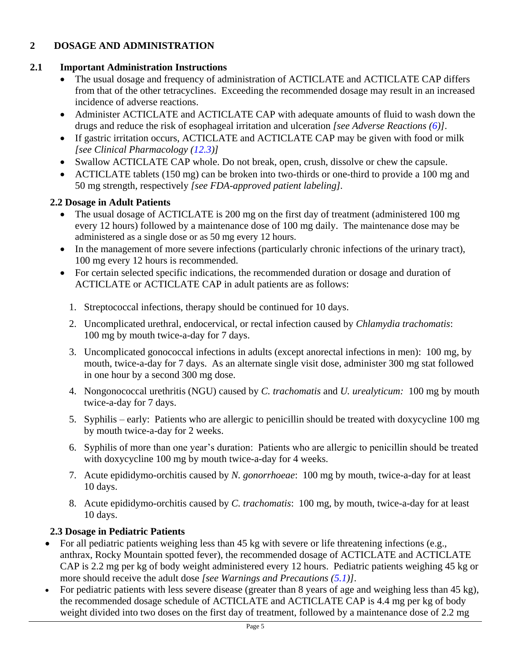# <span id="page-4-1"></span>**2 DOSAGE AND ADMINISTRATION**

# <span id="page-4-0"></span>**2.1 Important Administration Instructions**

- The usual dosage and frequency of administration of ACTICLATE and ACTICLATE CAP differs from that of the other tetracyclines. Exceeding the recommended dosage may result in an increased incidence of adverse reactions.
- Administer ACTICLATE and ACTICLATE CAP with adequate amounts of fluid to wash down the drugs and reduce the risk of esophageal irritation and ulceration *[see Adverse Reactions [\(6\)](#page-7-1)]*.
- If gastric irritation occurs, ACTICLATE and ACTICLATE CAP may be given with food or milk *[see Clinical Pharmacology [\(12.3\)](#page-11-2)]*
- Swallow ACTICLATE CAP whole. Do not break, open, crush, dissolve or chew the capsule.
- ACTICLATE tablets (150 mg) can be broken into two-thirds or one-third to provide a 100 mg and 50 mg strength, respectively *[see FDA-approved patient labeling].*

# <span id="page-4-2"></span>**2.2 Dosage in Adult Patients**

- The usual dosage of ACTICLATE is 200 mg on the first day of treatment (administered 100 mg) every 12 hours) followed by a maintenance dose of 100 mg daily. The maintenance dose may be administered as a single dose or as 50 mg every 12 hours.
- In the management of more severe infections (particularly chronic infections of the urinary tract), 100 mg every 12 hours is recommended.
- For certain selected specific indications, the recommended duration or dosage and duration of ACTICLATE or ACTICLATE CAP in adult patients are as follows:
	- 1. Streptococcal infections, therapy should be continued for 10 days.
	- 2. Uncomplicated urethral, endocervical, or rectal infection caused by *Chlamydia trachomatis*: 100 mg by mouth twice-a-day for 7 days.
	- 3. Uncomplicated gonococcal infections in adults (except anorectal infections in men): 100 mg, by mouth, twice-a-day for 7 days. As an alternate single visit dose, administer 300 mg stat followed in one hour by a second 300 mg dose.
	- 4. Nongonococcal urethritis (NGU) caused by *C. trachomatis* and *U. urealyticum:* 100 mg by mouth twice-a-day for 7 days.
	- 5. Syphilis early: Patients who are allergic to penicillin should be treated with doxycycline 100 mg by mouth twice-a-day for 2 weeks.
	- 6. Syphilis of more than one year's duration: Patients who are allergic to penicillin should be treated with doxycycline 100 mg by mouth twice-a-day for 4 weeks.
	- 7. Acute epididymo-orchitis caused by *N. gonorrhoeae*: 100 mg by mouth, twice-a-day for at least 10 days.
	- 8. Acute epididymo-orchitis caused by *C. trachomatis*: 100 mg, by mouth, twice-a-day for at least 10 days.

# **2.3 Dosage in Pediatric Patients**

- <span id="page-4-3"></span>• For all pediatric patients weighing less than 45 kg with severe or life threatening infections (e.g., anthrax, Rocky Mountain spotted fever), the recommended dosage of ACTICLATE and ACTICLATE CAP is 2.2 mg per kg of body weight administered every 12 hours. Pediatric patients weighing 45 kg or more should receive the adult dose *[see Warnings and Precautions [\(5.1\)](#page-5-2)]*.
- For pediatric patients with less severe disease (greater than 8 years of age and weighing less than 45 kg), the recommended dosage schedule of ACTICLATE and ACTICLATE CAP is 4.4 mg per kg of body weight divided into two doses on the first day of treatment, followed by a maintenance dose of 2.2 mg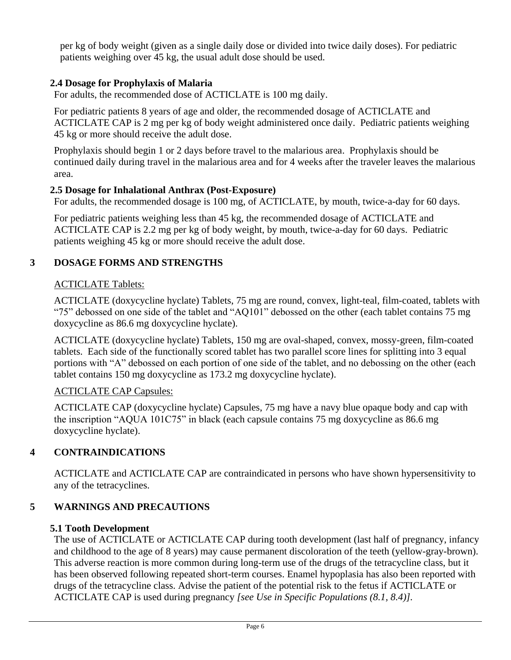per kg of body weight (given as a single daily dose or divided into twice daily doses). For pediatric patients weighing over 45 kg, the usual adult dose should be used.

## <span id="page-5-3"></span>**2.4 Dosage for Prophylaxis of Malaria**

For adults, the recommended dose of ACTICLATE is 100 mg daily.

For pediatric patients 8 years of age and older, the recommended dosage of ACTICLATE and ACTICLATE CAP is 2 mg per kg of body weight administered once daily. Pediatric patients weighing 45 kg or more should receive the adult dose.

Prophylaxis should begin 1 or 2 days before travel to the malarious area. Prophylaxis should be continued daily during travel in the malarious area and for 4 weeks after the traveler leaves the malarious area.

#### <span id="page-5-4"></span>**2.5 Dosage for Inhalational Anthrax (Post-Exposure)**

For adults, the recommended dosage is 100 mg, of ACTICLATE, by mouth, twice-a-day for 60 days.

For pediatric patients weighing less than 45 kg, the recommended dosage of ACTICLATE and ACTICLATE CAP is 2.2 mg per kg of body weight, by mouth, twice-a-day for 60 days. Pediatric patients weighing 45 kg or more should receive the adult dose.

#### <span id="page-5-0"></span>**3 DOSAGE FORMS AND STRENGTHS**

#### ACTICLATE Tablets:

ACTICLATE (doxycycline hyclate) Tablets, 75 mg are round, convex, light-teal, film-coated, tablets with "75" debossed on one side of the tablet and "AQ101" debossed on the other (each tablet contains 75 mg doxycycline as 86.6 mg doxycycline hyclate).

ACTICLATE (doxycycline hyclate) Tablets, 150 mg are oval-shaped, convex, mossy-green, film-coated tablets. Each side of the functionally scored tablet has two parallel score lines for splitting into 3 equal portions with "A" debossed on each portion of one side of the tablet, and no debossing on the other (each tablet contains 150 mg doxycycline as 173.2 mg doxycycline hyclate).

#### ACTICLATE CAP Capsules:

ACTICLATE CAP (doxycycline hyclate) Capsules, 75 mg have a navy blue opaque body and cap with the inscription "AQUA 101C75" in black (each capsule contains 75 mg doxycycline as 86.6 mg doxycycline hyclate).

#### <span id="page-5-1"></span>**4 CONTRAINDICATIONS**

ACTICLATE and ACTICLATE CAP are contraindicated in persons who have shown hypersensitivity to any of the tetracyclines.

## <span id="page-5-5"></span><span id="page-5-2"></span>**5 WARNINGS AND PRECAUTIONS**

#### **5.1 Tooth Development**

The use of ACTICLATE or ACTICLATE CAP during tooth development (last half of pregnancy, infancy and childhood to the age of 8 years) may cause permanent discoloration of the teeth (yellow-gray-brown). This adverse reaction is more common during long-term use of the drugs of the tetracycline class, but it has been observed following repeated short-term courses. Enamel hypoplasia has also been reported with drugs of the tetracycline class. Advise the patient of the potential risk to the fetus if ACTICLATE or ACTICLATE CAP is used during pregnancy *[see Use in Specific Populations (8.1, 8.4)].*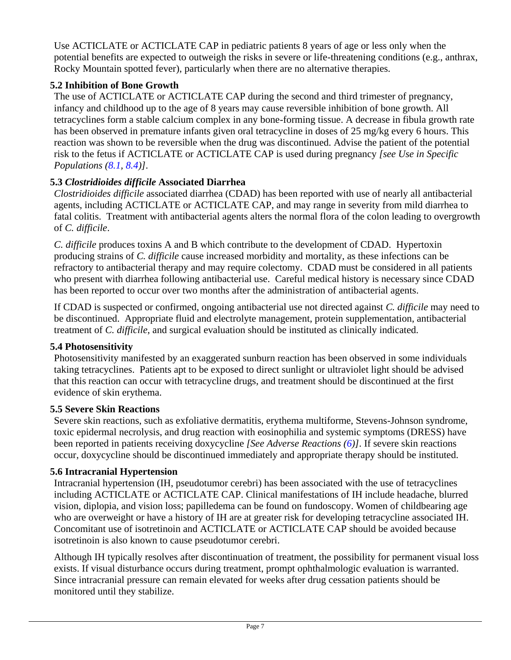Use ACTICLATE or ACTICLATE CAP in pediatric patients 8 years of age or less only when the potential benefits are expected to outweigh the risks in severe or life-threatening conditions (e.g., anthrax, Rocky Mountain spotted fever), particularly when there are no alternative therapies.

# <span id="page-6-0"></span>**5.2 Inhibition of Bone Growth**

The use of ACTICLATE or ACTICLATE CAP during the second and third trimester of pregnancy, infancy and childhood up to the age of 8 years may cause reversible inhibition of bone growth. All tetracyclines form a stable calcium complex in any bone-forming tissue. A decrease in fibula growth rate has been observed in premature infants given oral tetracycline in doses of 25 mg/kg every 6 hours. This reaction was shown to be reversible when the drug was discontinued. Advise the patient of the potential risk to the fetus if ACTICLATE or ACTICLATE CAP is used during pregnancy *[see Use in Specific Populations [\(8.1,](#page-8-0) [8.4\)](#page-9-0)]*.

# <span id="page-6-1"></span>**5.3** *Clostridioides difficile* **Associated Diarrhea**

*Clostridioides difficile* associated diarrhea (CDAD) has been reported with use of nearly all antibacterial agents, including ACTICLATE or ACTICLATE CAP, and may range in severity from mild diarrhea to fatal colitis. Treatment with antibacterial agents alters the normal flora of the colon leading to overgrowth of *C. difficile*.

*C. difficile* produces toxins A and B which contribute to the development of CDAD. Hypertoxin producing strains of *C. difficile* cause increased morbidity and mortality, as these infections can be refractory to antibacterial therapy and may require colectomy. CDAD must be considered in all patients who present with diarrhea following antibacterial use. Careful medical history is necessary since CDAD has been reported to occur over two months after the administration of antibacterial agents.

If CDAD is suspected or confirmed, ongoing antibacterial use not directed against *C. difficile* may need to be discontinued. Appropriate fluid and electrolyte management, protein supplementation, antibacterial treatment of *C. difficile*, and surgical evaluation should be instituted as clinically indicated.

## <span id="page-6-2"></span>**5.4 Photosensitivity**

Photosensitivity manifested by an exaggerated sunburn reaction has been observed in some individuals taking tetracyclines. Patients apt to be exposed to direct sunlight or ultraviolet light should be advised that this reaction can occur with tetracycline drugs, and treatment should be discontinued at the first evidence of skin erythema.

## <span id="page-6-3"></span>**5.5 Severe Skin Reactions**

Severe skin reactions, such as exfoliative dermatitis, erythema multiforme, Stevens-Johnson syndrome, toxic epidermal necrolysis, and drug reaction with eosinophilia and systemic symptoms (DRESS) have been reported in patients receiving doxycycline *[See Adverse Reactions [\(6\)](#page-7-1)]*. If severe skin reactions occur, doxycycline should be discontinued immediately and appropriate therapy should be instituted.

## <span id="page-6-4"></span>**5.6 Intracranial Hypertension**

Intracranial hypertension (IH, pseudotumor cerebri) has been associated with the use of tetracyclines including ACTICLATE or ACTICLATE CAP. Clinical manifestations of IH include headache, blurred vision, diplopia, and vision loss; papilledema can be found on fundoscopy. Women of childbearing age who are overweight or have a history of IH are at greater risk for developing tetracycline associated IH. Concomitant use of isotretinoin and ACTICLATE or ACTICLATE CAP should be avoided because isotretinoin is also known to cause pseudotumor cerebri.

Although IH typically resolves after discontinuation of treatment, the possibility for permanent visual loss exists. If visual disturbance occurs during treatment, prompt ophthalmologic evaluation is warranted. Since intracranial pressure can remain elevated for weeks after drug cessation patients should be monitored until they stabilize.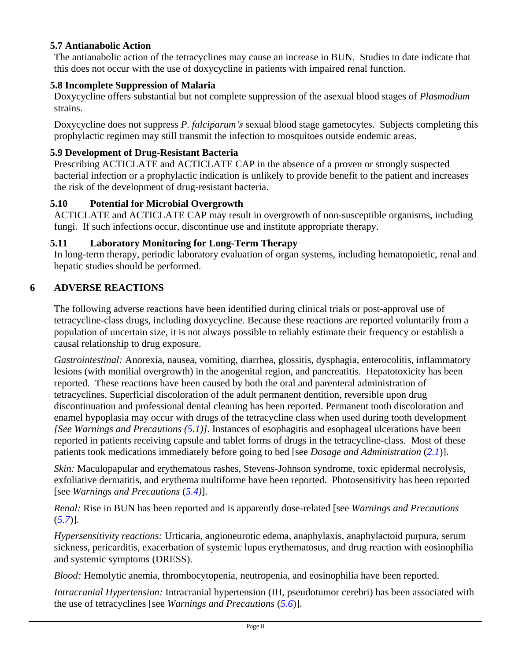### <span id="page-7-2"></span>**5.7 Antianabolic Action**

The antianabolic action of the tetracyclines may cause an increase in BUN. Studies to date indicate that this does not occur with the use of doxycycline in patients with impaired renal function.

### <span id="page-7-3"></span>**5.8 Incomplete Suppression of Malaria**

Doxycycline offers substantial but not complete suppression of the asexual blood stages of *Plasmodium* strains.

Doxycycline does not suppress *P. falciparum's* sexual blood stage gametocytes. Subjects completing this prophylactic regimen may still transmit the infection to mosquitoes outside endemic areas.

#### <span id="page-7-4"></span>**5.9 Development of Drug-Resistant Bacteria**

Prescribing ACTICLATE and ACTICLATE CAP in the absence of a proven or strongly suspected bacterial infection or a prophylactic indication is unlikely to provide benefit to the patient and increases the risk of the development of drug-resistant bacteria.

### <span id="page-7-0"></span>**5.10 Potential for Microbial Overgrowth**

ACTICLATE and ACTICLATE CAP may result in overgrowth of non-susceptible organisms, including fungi. If such infections occur, discontinue use and institute appropriate therapy.

### <span id="page-7-5"></span>**5.11 Laboratory Monitoring for Long-Term Therapy**

In long-term therapy, periodic laboratory evaluation of organ systems, including hematopoietic, renal and hepatic studies should be performed.

### <span id="page-7-1"></span>**6 ADVERSE REACTIONS**

The following adverse reactions have been identified during clinical trials or post-approval use of tetracycline-class drugs, including doxycycline. Because these reactions are reported voluntarily from a population of uncertain size, it is not always possible to reliably estimate their frequency or establish a causal relationship to drug exposure.

*Gastrointestinal:* Anorexia, nausea, vomiting, diarrhea, glossitis, dysphagia, enterocolitis, inflammatory lesions (with monilial overgrowth) in the anogenital region, and pancreatitis. Hepatotoxicity has been reported. These reactions have been caused by both the oral and parenteral administration of tetracyclines. Superficial discoloration of the adult permanent dentition, reversible upon drug discontinuation and professional dental cleaning has been reported. Permanent tooth discoloration and enamel hypoplasia may occur with drugs of the tetracycline class when used during tooth development *[See Warnings and Precautions [\(5.1\)](#page-5-2)]*. Instances of esophagitis and esophageal ulcerations have been reported in patients receiving capsule and tablet forms of drugs in the tetracycline-class. Most of these patients took medications immediately before going to bed [see *Dosage and Administration* (*[2.1](#page-4-0)*)].

*Skin:* Maculopapular and erythematous rashes, Stevens-Johnson syndrome, toxic epidermal necrolysis, exfoliative dermatitis, and erythema multiforme have been reported. Photosensitivity has been reported [see *Warnings and Precautions* (*[5.4\)](#page-6-2)*].

*Renal:* Rise in BUN has been reported and is apparently dose-related [see *Warnings and Precautions* (*[5.7](#page-7-2)*)].

*Hypersensitivity reactions:* Urticaria, angioneurotic edema, anaphylaxis, anaphylactoid purpura, serum sickness, pericarditis, exacerbation of systemic lupus erythematosus, and drug reaction with eosinophilia and systemic symptoms (DRESS).

*Blood:* Hemolytic anemia, thrombocytopenia, neutropenia, and eosinophilia have been reported.

*Intracranial Hypertension:* Intracranial hypertension (IH, pseudotumor cerebri) has been associated with the use of tetracyclines [see *Warnings and Precautions* (*[5.6](#page-6-4)*)].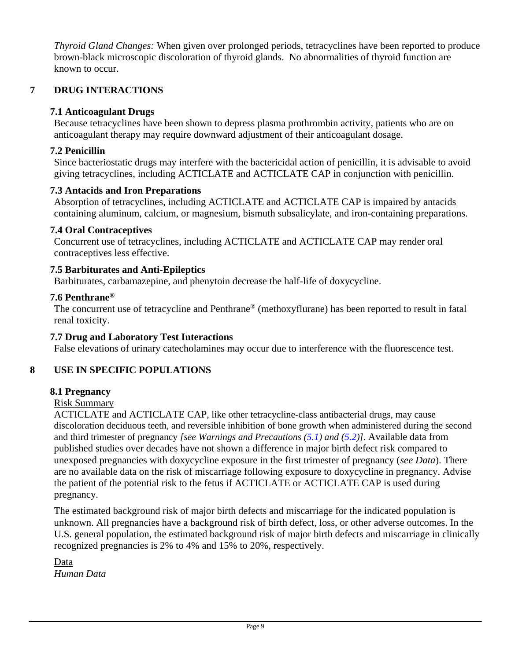*Thyroid Gland Changes:* When given over prolonged periods, tetracyclines have been reported to produce brown-black microscopic discoloration of thyroid glands. No abnormalities of thyroid function are known to occur.

## <span id="page-8-6"></span><span id="page-8-1"></span>**7 DRUG INTERACTIONS**

## **7.1 Anticoagulant Drugs**

Because tetracyclines have been shown to depress plasma prothrombin activity, patients who are on anticoagulant therapy may require downward adjustment of their anticoagulant dosage.

### <span id="page-8-2"></span>**7.2 Penicillin**

Since bacteriostatic drugs may interfere with the bactericidal action of penicillin, it is advisable to avoid giving tetracyclines, including ACTICLATE and ACTICLATE CAP in conjunction with penicillin.

### <span id="page-8-3"></span>**7.3 Antacids and Iron Preparations**

Absorption of tetracyclines, including ACTICLATE and ACTICLATE CAP is impaired by antacids containing aluminum, calcium, or magnesium, bismuth subsalicylate, and iron-containing preparations.

### <span id="page-8-4"></span>**7.4 Oral Contraceptives**

Concurrent use of tetracyclines, including ACTICLATE and ACTICLATE CAP may render oral contraceptives less effective.

### <span id="page-8-5"></span>**7.5 Barbiturates and Anti-Epileptics**

Barbiturates, carbamazepine, and phenytoin decrease the half-life of doxycycline.

### <span id="page-8-7"></span>**7.6 Penthrane®**

The concurrent use of tetracycline and Penthrane® (methoxyflurane) has been reported to result in fatal renal toxicity.

#### <span id="page-8-8"></span>**7.7 Drug and Laboratory Test Interactions**

False elevations of urinary catecholamines may occur due to interference with the fluorescence test.

## <span id="page-8-9"></span><span id="page-8-0"></span>**8 USE IN SPECIFIC POPULATIONS**

## **8.1 Pregnancy**

#### Risk Summary

ACTICLATE and ACTICLATE CAP, like other tetracycline-class antibacterial drugs, may cause discoloration deciduous teeth, and reversible inhibition of bone growth when administered during the second and third trimester of pregnancy *[see Warnings and Precautions [\(5.1\)](#page-5-2) and [\(5.2\)](#page-7-2)].* Available data from published studies over decades have not shown a difference in major birth defect risk compared to unexposed pregnancies with doxycycline exposure in the first trimester of pregnancy (*see Data*). There are no available data on the risk of miscarriage following exposure to doxycycline in pregnancy. Advise the patient of the potential risk to the fetus if ACTICLATE or ACTICLATE CAP is used during pregnancy.

The estimated background risk of major birth defects and miscarriage for the indicated population is unknown. All pregnancies have a background risk of birth defect, loss, or other adverse outcomes. In the U.S. general population, the estimated background risk of major birth defects and miscarriage in clinically recognized pregnancies is 2% to 4% and 15% to 20%, respectively.

Data *Human Data*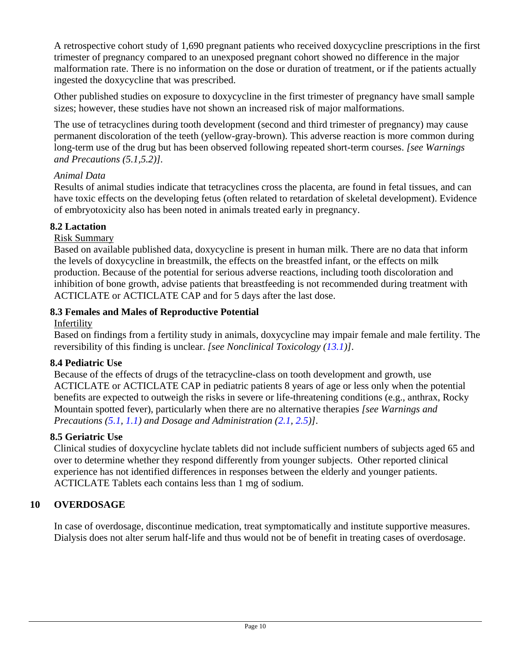A retrospective cohort study of 1,690 pregnant patients who received doxycycline prescriptions in the first trimester of pregnancy compared to an unexposed pregnant cohort showed no difference in the major malformation rate. There is no information on the dose or duration of treatment, or if the patients actually ingested the doxycycline that was prescribed.

Other published studies on exposure to doxycycline in the first trimester of pregnancy have small sample sizes; however, these studies have not shown an increased risk of major malformations.

The use of tetracyclines during tooth development (second and third trimester of pregnancy) may cause permanent discoloration of the teeth (yellow-gray-brown). This adverse reaction is more common during long-term use of the drug but has been observed following repeated short-term courses. *[see Warnings and Precautions (5.1,5.2)].*

### *Animal Data*

Results of animal studies indicate that tetracyclines cross the placenta, are found in fetal tissues, and can have toxic effects on the developing fetus (often related to retardation of skeletal development). Evidence of embryotoxicity also has been noted in animals treated early in pregnancy.

### <span id="page-9-1"></span>**8.2 Lactation**

### Risk Summary

Based on available published data, doxycycline is present in human milk. There are no data that inform the levels of doxycycline in breastmilk, the effects on the breastfed infant, or the effects on milk production. Because of the potential for serious adverse reactions, including tooth discoloration and inhibition of bone growth, advise patients that breastfeeding is not recommended during treatment with ACTICLATE or ACTICLATE CAP and for 5 days after the last dose.

### <span id="page-9-2"></span>**8.3 Females and Males of Reproductive Potential**

### Infertility

Based on findings from a fertility study in animals, doxycycline may impair female and male fertility. The reversibility of this finding is unclear. *[see Nonclinical Toxicology [\(13.1\)](#page-13-1)]*.

#### <span id="page-9-0"></span>**8.4 Pediatric Use**

Because of the effects of drugs of the tetracycline-class on tooth development and growth, use ACTICLATE or ACTICLATE CAP in pediatric patients 8 years of age or less only when the potential benefits are expected to outweigh the risks in severe or life-threatening conditions (e.g., anthrax, Rocky Mountain spotted fever), particularly when there are no alternative therapies *[see Warnings and Precautions [\(5.1,](#page-5-2) [1.1\)](#page-2-0) and Dosage and Administration [\(2.1,](#page-4-0) [2.5\)](#page-5-4)]*.

#### <span id="page-9-3"></span>**8.5 Geriatric Use**

Clinical studies of doxycycline hyclate tablets did not include sufficient numbers of subjects aged 65 and over to determine whether they respond differently from younger subjects. Other reported clinical experience has not identified differences in responses between the elderly and younger patients. ACTICLATE Tablets each contains less than 1 mg of sodium.

## <span id="page-9-4"></span>**10 OVERDOSAGE**

In case of overdosage, discontinue medication, treat symptomatically and institute supportive measures. Dialysis does not alter serum half-life and thus would not be of benefit in treating cases of overdosage.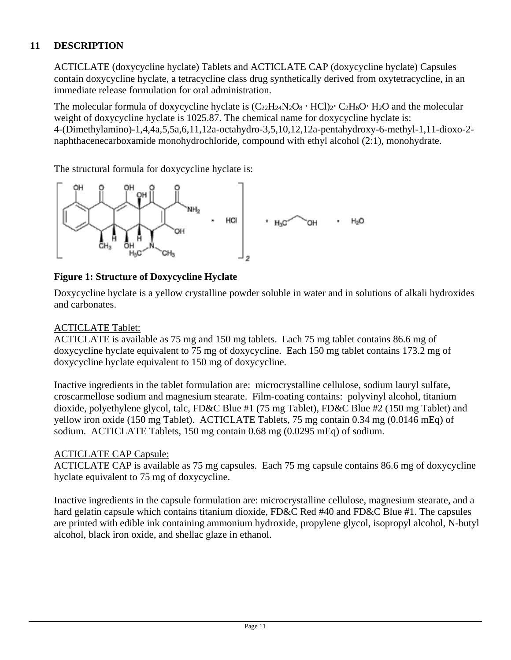# <span id="page-10-0"></span>**11 DESCRIPTION**

ACTICLATE (doxycycline hyclate) Tablets and ACTICLATE CAP (doxycycline hyclate) Capsules contain doxycycline hyclate, a tetracycline class drug synthetically derived from oxytetracycline, in an immediate release formulation for oral administration.

The molecular formula of doxycycline hyclate is  $(C_{22}H_{24}N_2O_8 \cdot HCl)_2 \cdot C_2H_6O \cdot H_2O$  and the molecular weight of doxycycline hyclate is 1025.87. The chemical name for doxycycline hyclate is: 4-(Dimethylamino)-1,4,4a,5,5a,6,11,12a-octahydro-3,5,10,12,12a-pentahydroxy-6-methyl-1,11-dioxo-2 naphthacenecarboxamide monohydrochloride, compound with ethyl alcohol (2:1), monohydrate.

The structural formula for doxycycline hyclate is:



# **Figure 1: Structure of Doxycycline Hyclate**

Doxycycline hyclate is a yellow crystalline powder soluble in water and in solutions of alkali hydroxides and carbonates.

## ACTICLATE Tablet:

ACTICLATE is available as 75 mg and 150 mg tablets. Each 75 mg tablet contains 86.6 mg of doxycycline hyclate equivalent to 75 mg of doxycycline. Each 150 mg tablet contains 173.2 mg of doxycycline hyclate equivalent to 150 mg of doxycycline.

Inactive ingredients in the tablet formulation are: microcrystalline cellulose, sodium lauryl sulfate, croscarmellose sodium and magnesium stearate. Film-coating contains: polyvinyl alcohol, titanium dioxide, polyethylene glycol, talc, FD&C Blue #1 (75 mg Tablet), FD&C Blue #2 (150 mg Tablet) and yellow iron oxide (150 mg Tablet). ACTICLATE Tablets, 75 mg contain 0.34 mg (0.0146 mEq) of sodium. ACTICLATE Tablets, 150 mg contain 0.68 mg (0.0295 mEq) of sodium.

# ACTICLATE CAP Capsule:

ACTICLATE CAP is available as 75 mg capsules. Each 75 mg capsule contains 86.6 mg of doxycycline hyclate equivalent to 75 mg of doxycycline.

Inactive ingredients in the capsule formulation are: microcrystalline cellulose, magnesium stearate, and a hard gelatin capsule which contains titanium dioxide, FD&C Red #40 and FD&C Blue #1. The capsules are printed with edible ink containing ammonium hydroxide, propylene glycol, isopropyl alcohol, N-butyl alcohol, black iron oxide, and shellac glaze in ethanol.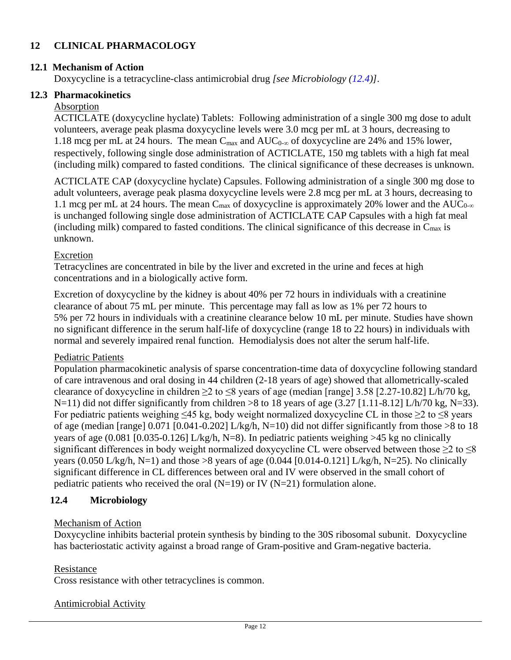### <span id="page-11-0"></span>**12 CLINICAL PHARMACOLOGY**

#### <span id="page-11-1"></span>**12.1 Mechanism of Action**

Doxycycline is a tetracycline-class antimicrobial drug *[see Microbiology [\(12.4\)](#page-11-3)]*.

#### <span id="page-11-2"></span>**12.3 Pharmacokinetics**

#### Absorption

ACTICLATE (doxycycline hyclate) Tablets: Following administration of a single 300 mg dose to adult volunteers, average peak plasma doxycycline levels were 3.0 mcg per mL at 3 hours, decreasing to 1.18 mcg per mL at 24 hours. The mean  $C_{\text{max}}$  and  $AUC_{0-\infty}$  of doxycycline are 24% and 15% lower, respectively, following single dose administration of ACTICLATE, 150 mg tablets with a high fat meal (including milk) compared to fasted conditions. The clinical significance of these decreases is unknown.

ACTICLATE CAP (doxycycline hyclate) Capsules. Following administration of a single 300 mg dose to adult volunteers, average peak plasma doxycycline levels were 2.8 mcg per mL at 3 hours, decreasing to 1.1 mcg per mL at 24 hours. The mean  $C_{\text{max}}$  of doxycycline is approximately 20% lower and the AUC<sub>0-∞</sub> is unchanged following single dose administration of ACTICLATE CAP Capsules with a high fat meal (including milk) compared to fasted conditions. The clinical significance of this decrease in  $C_{\text{max}}$  is unknown.

#### Excretion

Tetracyclines are concentrated in bile by the liver and excreted in the urine and feces at high concentrations and in a biologically active form.

Excretion of doxycycline by the kidney is about 40% per 72 hours in individuals with a creatinine clearance of about 75 mL per minute. This percentage may fall as low as 1% per 72 hours to 5% per 72 hours in individuals with a creatinine clearance below 10 mL per minute. Studies have shown no significant difference in the serum half-life of doxycycline (range 18 to 22 hours) in individuals with normal and severely impaired renal function. Hemodialysis does not alter the serum half-life.

#### Pediatric Patients

Population pharmacokinetic analysis of sparse concentration-time data of doxycycline following standard of care intravenous and oral dosing in 44 children (2-18 years of age) showed that allometrically-scaled clearance of doxycycline in children  $\geq$  to  $\leq$ 8 years of age (median [range] 3.58 [2.27-10.82] L/h/70 kg,  $N=11$ ) did not differ significantly from children >8 to 18 years of age (3.27 [1.11-8.12] L/h/70 kg, N=33). For pediatric patients weighing  $\leq 45$  kg, body weight normalized doxycycline CL in those  $\geq 2$  to  $\leq 8$  years of age (median [range]  $0.071$  [0.041-0.202] L/kg/h, N=10) did not differ significantly from those >8 to 18 years of age (0.081 [0.035-0.126] L/kg/h, N=8). In pediatric patients weighing >45 kg no clinically significant differences in body weight normalized doxycycline CL were observed between those  $\geq 2$  to  $\leq 8$ years (0.050 L/kg/h, N=1) and those >8 years of age (0.044 [0.014-0.121] L/kg/h, N=25). No clinically significant difference in CL differences between oral and IV were observed in the small cohort of pediatric patients who received the oral (N=19) or IV (N=21) formulation alone.

### <span id="page-11-3"></span>**12.4 Microbiology**

#### Mechanism of Action

Doxycycline inhibits bacterial protein synthesis by binding to the 30S ribosomal subunit. Doxycycline has bacteriostatic activity against a broad range of Gram-positive and Gram-negative bacteria.

#### Resistance

Cross resistance with other tetracyclines is common.

#### Antimicrobial Activity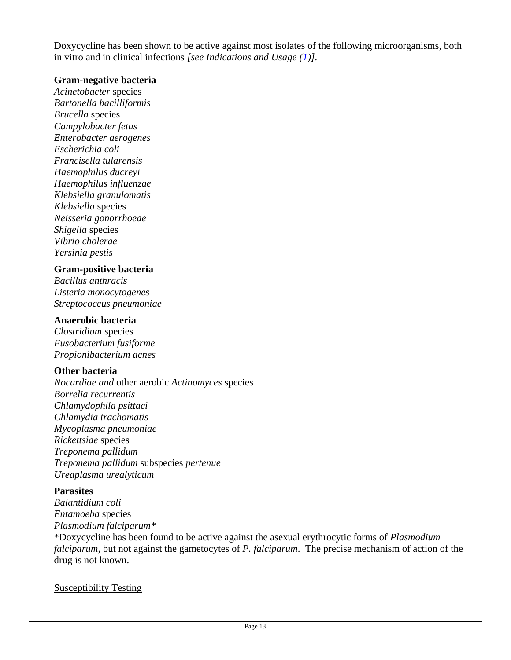Doxycycline has been shown to be active against most isolates of the following microorganisms, both in vitro and in clinical infections *[see Indications and Usage [\(1\)](#page-2-4)].*

#### **Gram-negative bacteria**

*Acinetobacter* species *Bartonella bacilliformis Brucella* species *Campylobacter fetus Enterobacter aerogenes Escherichia coli Francisella tularensis Haemophilus ducreyi Haemophilus influenzae Klebsiella granulomatis Klebsiella* species *Neisseria gonorrhoeae Shigella* species *Vibrio cholerae Yersinia pestis*

#### **Gram-positive bacteria**

*Bacillus anthracis Listeria monocytogenes Streptococcus pneumoniae*

#### **Anaerobic bacteria**

*Clostridium* species *Fusobacterium fusiforme Propionibacterium acnes*

#### **Other bacteria**

*Nocardiae and* other aerobic *Actinomyces* species *Borrelia recurrentis Chlamydophila psittaci Chlamydia trachomatis Mycoplasma pneumoniae Rickettsiae* species *Treponema pallidum Treponema pallidum* subspecies *pertenue Ureaplasma urealyticum*

#### **Parasites**

*Balantidium coli Entamoeba* species *Plasmodium falciparum\**

\*Doxycycline has been found to be active against the asexual erythrocytic forms of *Plasmodium falciparum*, but not against the gametocytes of *P. falciparum*. The precise mechanism of action of the drug is not known.

#### Susceptibility Testing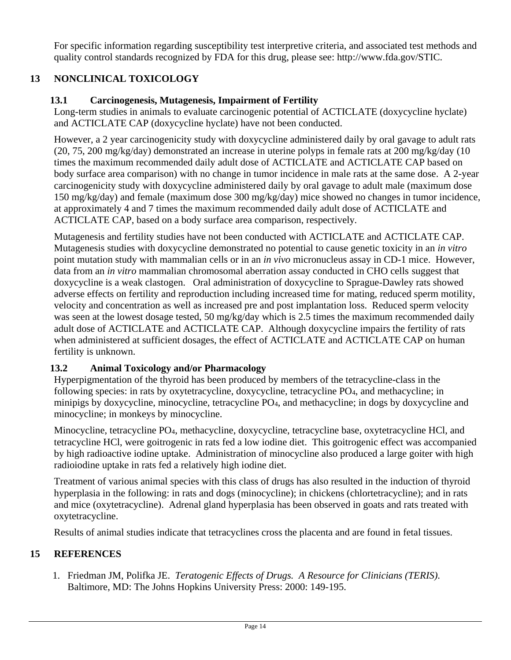For specific information regarding susceptibility test interpretive criteria, and associated test methods and quality control standards recognized by FDA for this drug, please see: http://www.fda.gov/STIC.

# <span id="page-13-1"></span><span id="page-13-0"></span>**13 NONCLINICAL TOXICOLOGY**

## **13.1 Carcinogenesis, Mutagenesis, Impairment of Fertility**

Long-term studies in animals to evaluate carcinogenic potential of ACTICLATE (doxycycline hyclate) and ACTICLATE CAP (doxycycline hyclate) have not been conducted.

However, a 2 year carcinogenicity study with doxycycline administered daily by oral gavage to adult rats (20, 75, 200 mg/kg/day) demonstrated an increase in uterine polyps in female rats at 200 mg/kg/day (10 times the maximum recommended daily adult dose of ACTICLATE and ACTICLATE CAP based on body surface area comparison) with no change in tumor incidence in male rats at the same dose. A 2-year carcinogenicity study with doxycycline administered daily by oral gavage to adult male (maximum dose 150 mg/kg/day) and female (maximum dose 300 mg/kg/day) mice showed no changes in tumor incidence, at approximately 4 and 7 times the maximum recommended daily adult dose of ACTICLATE and ACTICLATE CAP, based on a body surface area comparison, respectively*.*

Mutagenesis and fertility studies have not been conducted with ACTICLATE and ACTICLATE CAP. Mutagenesis studies with doxycycline demonstrated no potential to cause genetic toxicity in an *in vitro*  point mutation study with mammalian cells or in an *in vivo* micronucleus assay in CD-1 mice. However, data from an *in vitro* mammalian chromosomal aberration assay conducted in CHO cells suggest that doxycycline is a weak clastogen. Oral administration of doxycycline to Sprague-Dawley rats showed adverse effects on fertility and reproduction including increased time for mating, reduced sperm motility, velocity and concentration as well as increased pre and post implantation loss. Reduced sperm velocity was seen at the lowest dosage tested, 50 mg/kg/day which is 2.5 times the maximum recommended daily adult dose of ACTICLATE and ACTICLATE CAP. Although doxycycline impairs the fertility of rats when administered at sufficient dosages, the effect of ACTICLATE and ACTICLATE CAP on human fertility is unknown.

## <span id="page-13-2"></span>**13.2 Animal Toxicology and/or Pharmacology**

Hyperpigmentation of the thyroid has been produced by members of the tetracycline-class in the following species: in rats by oxytetracycline, doxycycline, tetracycline PO4, and methacycline; in minipigs by doxycycline, minocycline, tetracycline PO4, and methacycline; in dogs by doxycycline and minocycline; in monkeys by minocycline.

Minocycline, tetracycline PO4, methacycline, doxycycline, tetracycline base, oxytetracycline HCl, and tetracycline HCl, were goitrogenic in rats fed a low iodine diet. This goitrogenic effect was accompanied by high radioactive iodine uptake. Administration of minocycline also produced a large goiter with high radioiodine uptake in rats fed a relatively high iodine diet.

Treatment of various animal species with this class of drugs has also resulted in the induction of thyroid hyperplasia in the following: in rats and dogs (minocycline); in chickens (chlortetracycline); and in rats and mice (oxytetracycline). Adrenal gland hyperplasia has been observed in goats and rats treated with oxytetracycline.

Results of animal studies indicate that tetracyclines cross the placenta and are found in fetal tissues.

# <span id="page-13-3"></span>**15 REFERENCES**

1. Friedman JM, Polifka JE. *Teratogenic Effects of Drugs. A Resource for Clinicians (TERIS)*. Baltimore, MD: The Johns Hopkins University Press: 2000: 149-195.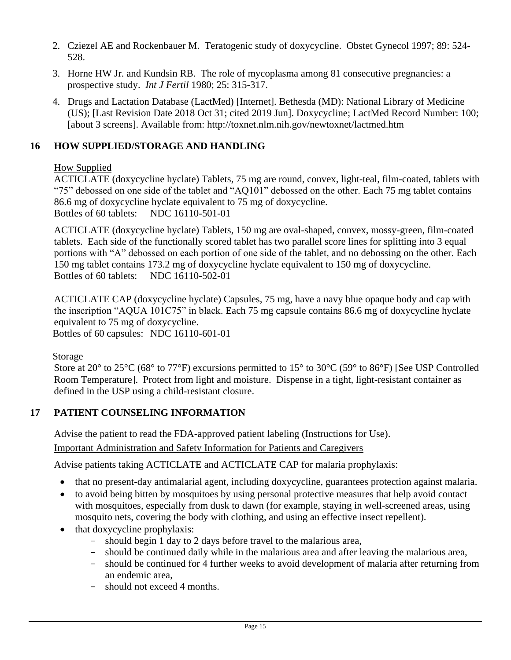- 2. Cziezel AE and Rockenbauer M. Teratogenic study of doxycycline. Obstet Gynecol 1997; 89: 524- 528.
- 3. Horne HW Jr. and Kundsin RB. The role of mycoplasma among 81 consecutive pregnancies: a prospective study. *Int J Fertil* 1980; 25: 315-317.
- 4. Drugs and Lactation Database (LactMed) [Internet]. Bethesda (MD): National Library of Medicine (US); [Last Revision Date 2018 Oct 31; cited 2019 Jun]. Doxycycline; LactMed Record Number: 100; [about 3 screens]. Available from: http://toxnet.nlm.nih.gov/newtoxnet/lactmed.htm

# <span id="page-14-1"></span>**16 HOW SUPPLIED/STORAGE AND HANDLING**

## How Supplied

ACTICLATE (doxycycline hyclate) Tablets, 75 mg are round, convex, light-teal, film-coated, tablets with "75" debossed on one side of the tablet and "AQ101" debossed on the other. Each 75 mg tablet contains 86.6 mg of doxycycline hyclate equivalent to 75 mg of doxycycline. Bottles of 60 tablets: NDC 16110-501-01

ACTICLATE (doxycycline hyclate) Tablets, 150 mg are oval-shaped, convex, mossy-green, film-coated tablets. Each side of the functionally scored tablet has two parallel score lines for splitting into 3 equal portions with "A" debossed on each portion of one side of the tablet, and no debossing on the other. Each 150 mg tablet contains 173.2 mg of doxycycline hyclate equivalent to 150 mg of doxycycline. Bottles of 60 tablets: NDC 16110-502-01

ACTICLATE CAP (doxycycline hyclate) Capsules, 75 mg, have a navy blue opaque body and cap with the inscription "AQUA 101C75" in black. Each 75 mg capsule contains 86.6 mg of doxycycline hyclate equivalent to 75 mg of doxycycline. Bottles of 60 capsules: NDC 16110-601-01

**Storage** 

Store at 20° to 25°C (68° to 77°F) excursions permitted to 15° to 30°C (59° to 86°F) [See USP Controlled Room Temperature]. Protect from light and moisture. Dispense in a tight, light-resistant container as defined in the USP using a child-resistant closure.

# <span id="page-14-0"></span>**17 PATIENT COUNSELING INFORMATION**

Advise the patient to read the FDA-approved patient labeling (Instructions for Use). Important Administration and Safety Information for Patients and Caregivers

Advise patients taking ACTICLATE and ACTICLATE CAP for malaria prophylaxis:

- that no present-day antimalarial agent, including doxycycline, guarantees protection against malaria.
- to avoid being bitten by mosquitoes by using personal protective measures that help avoid contact with mosquitoes, especially from dusk to dawn (for example, staying in well-screened areas, using mosquito nets, covering the body with clothing, and using an effective insect repellent).
- that doxycycline prophylaxis:
	- should begin 1 day to 2 days before travel to the malarious area,
	- should be continued daily while in the malarious area and after leaving the malarious area,
	- should be continued for 4 further weeks to avoid development of malaria after returning from an endemic area,
	- should not exceed 4 months.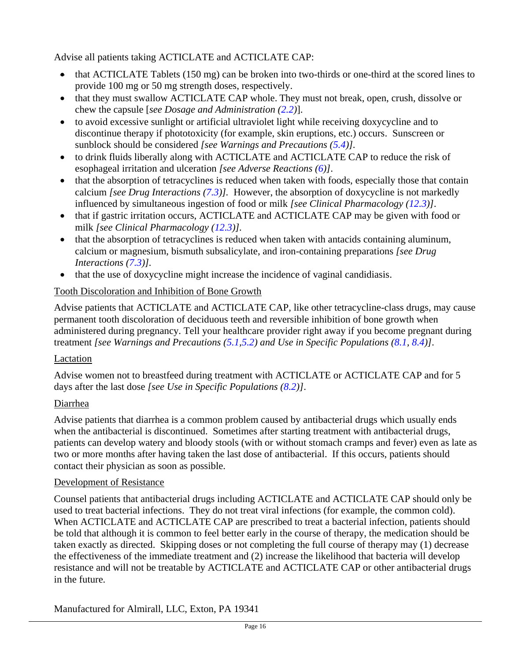Advise all patients taking ACTICLATE and ACTICLATE CAP:

- that ACTICLATE Tablets (150 mg) can be broken into two-thirds or one-third at the scored lines to provide 100 mg or 50 mg strength doses, respectively.
- that they must swallow ACTICLATE CAP whole. They must not break, open, crush, dissolve or chew the capsule [*see Dosage and Administration (2.2)*].
- to avoid excessive sunlight or artificial ultraviolet light while receiving doxycycline and to discontinue therapy if phototoxicity (for example, skin eruptions, etc.) occurs. Sunscreen or sunblock should be considered *[see Warnings and Precautions [\(5.4\)](#page-6-2)].*
- to drink fluids liberally along with ACTICLATE and ACTICLATE CAP to reduce the risk of esophageal irritation and ulceration *[see Adverse Reactions (6)]*.
- that the absorption of tetracyclines is reduced when taken with foods, especially those that contain calcium *[see Drug Interactions [\(7.3\)](#page-8-3)].* However, the absorption of doxycycline is not markedly influenced by simultaneous ingestion of food or milk *[see Clinical Pharmacology [\(12.3\)](#page-11-2)]*.
- that if gastric irritation occurs, ACTICLATE and ACTICLATE CAP may be given with food or milk *[see Clinical Pharmacology [\(12.3\)](#page-11-2)].*
- that the absorption of tetracyclines is reduced when taken with antacids containing aluminum, calcium or magnesium, bismuth subsalicylate, and iron-containing preparations *[see Drug Interactions [\(7.3\)](#page-8-3)].*
- that the use of doxycycline might increase the incidence of vaginal candidiasis.

### Tooth Discoloration and Inhibition of Bone Growth

Advise patients that ACTICLATE and ACTICLATE CAP, like other tetracycline-class drugs, may cause permanent tooth discoloration of deciduous teeth and reversible inhibition of bone growth when administered during pregnancy. Tell your healthcare provider right away if you become pregnant during treatment *[see Warnings and Precautions [\(5.1,](#page-5-2)[5.2\)](#page-6-0) and Use in Specific Populations [\(8.1,](#page-8-0) [8.4\)](#page-9-0)]*.

#### Lactation

Advise women not to breastfeed during treatment with ACTICLATE or ACTICLATE CAP and for 5 days after the last dose *[see Use in Specific Populations [\(8.2\)](#page-9-1)]*.

## Diarrhea

Advise patients that diarrhea is a common problem caused by antibacterial drugs which usually ends when the antibacterial is discontinued. Sometimes after starting treatment with antibacterial drugs, patients can develop watery and bloody stools (with or without stomach cramps and fever) even as late as two or more months after having taken the last dose of antibacterial. If this occurs, patients should contact their physician as soon as possible.

#### Development of Resistance

Counsel patients that antibacterial drugs including ACTICLATE and ACTICLATE CAP should only be used to treat bacterial infections. They do not treat viral infections (for example, the common cold). When ACTICLATE and ACTICLATE CAP are prescribed to treat a bacterial infection, patients should be told that although it is common to feel better early in the course of therapy, the medication should be taken exactly as directed. Skipping doses or not completing the full course of therapy may (1) decrease the effectiveness of the immediate treatment and (2) increase the likelihood that bacteria will develop resistance and will not be treatable by ACTICLATE and ACTICLATE CAP or other antibacterial drugs in the future.

Manufactured for Almirall, LLC, Exton, PA 19341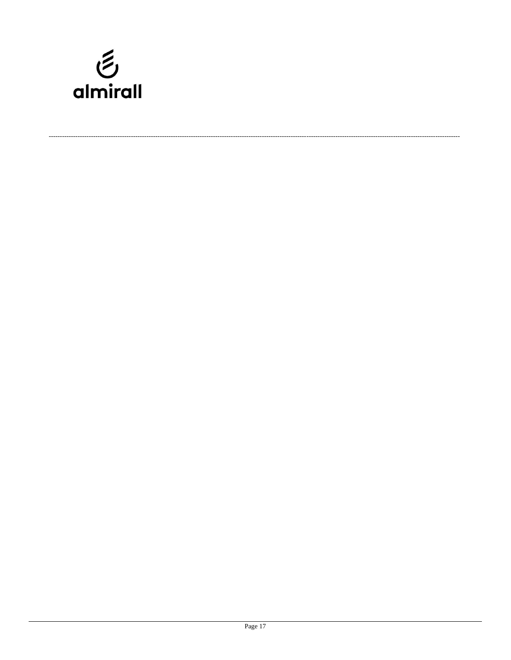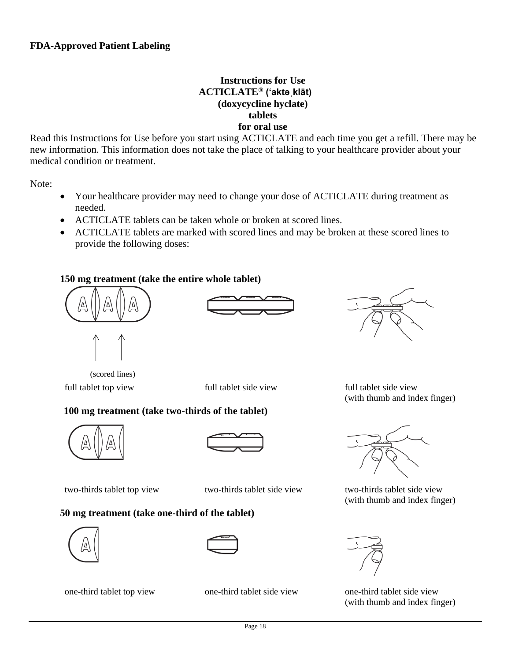#### **Instructions for Use ACTICLATE® ('aktəˌklāt) (doxycycline hyclate) tablets for oral use**

Read this Instructions for Use before you start using ACTICLATE and each time you get a refill. There may be new information. This information does not take the place of talking to your healthcare provider about your medical condition or treatment.

Note:

- Your healthcare provider may need to change your dose of ACTICLATE during treatment as needed.
- ACTICLATE tablets can be taken whole or broken at scored lines.
- ACTICLATE tablets are marked with scored lines and may be broken at these scored lines to provide the following doses:

#### **150 mg treatment (take the entire whole tablet)**



(scored lines)

#### **100 mg treatment (take two-thirds of the tablet)**



#### **50 mg treatment (take one-third of the tablet)**





two-thirds tablet top view two-thirds tablet side view two-thirds tablet side view



full tablet top view full tablet side view full tablet side view (with thumb and index finger)



(with thumb and index finger)



one-third tablet top view one-third tablet side view one-third tablet side view (with thumb and index finger)